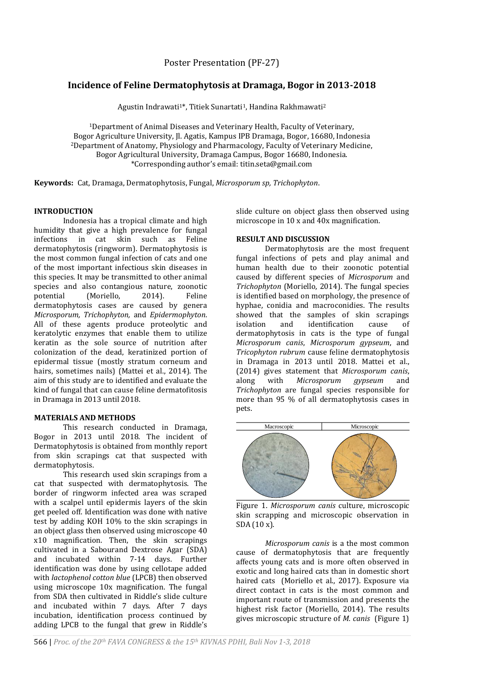# **Incidence of Feline Dermatophytosis at Dramaga, Bogor in 2013-2018**

Agustin Indrawati<sup>1\*</sup>, Titiek Sunartati<sup>1</sup>, Handina Rakhmawati<sup>2</sup>

<sup>1</sup>Department of Animal Diseases and Veterinary Health, Faculty of Veterinary, Bogor Agriculture University, Jl. Agatis, Kampus IPB Dramaga, Bogor, 16680, Indonesia <sup>2</sup>Department of Anatomy, Physiology and Pharmacology, Faculty of Veterinary Medicine, Bogor Agricultural University, Dramaga Campus, Bogor 16680, Indonesia. \*Corresponding author's email: titin.seta@gmail.com

**Keywords:** Cat, Dramaga, Dermatophytosis, Fungal, *Microsporum sp, Trichophyton*.

### **INTRODUCTION**

Indonesia has a tropical climate and high humidity that give a high prevalence for fungal infections in cat skin such as Feline dermatophytosis (ringworm). Dermatophytosis is the most common fungal infection of cats and one of the most important infectious skin diseases in this species. It may be transmitted to other animal species and also contangious nature, zoonotic potential (Moriello, 2014). Feline dermatophytosis cases are caused by genera *Microsporum, Trichophyton,* and *Epidermophyton*. All of these agents produce proteolytic and keratolytic enzymes that enable them to utilize keratin as the sole source of nutrition after colonization of the dead, keratinized portion of epidermal tissue (mostly stratum corneum and hairs, sometimes nails) (Mattei et al., 2014). The aim of this study are to identified and evaluate the kind of fungal that can cause feline dermatofitosis in Dramaga in 2013 until 2018.

## **MATERIALS AND METHODS**

This research conducted in Dramaga, Bogor in 2013 until 2018. The incident of Dermatophytosis is obtained from monthly report from skin scrapings cat that suspected with dermatophytosis.

This research used skin scrapings from a cat that suspected with dermatophytosis. The border of ringworm infected area was scraped with a scalpel until epidermis layers of the skin get peeled off. Identification was done with native test by adding KOH 10% to the skin scrapings in an object glass then observed using microscope 40 x10 magnification. Then, the skin scrapings cultivated in a Sabourand Dextrose Agar (SDA) and incubated within 7-14 days. Further identification was done by using cellotape added with *lactophenol cotton blue* (LPCB) then observed using microscope 10x magnification. The fungal from SDA then cultivated in Riddle's slide culture and incubated within 7 days. After 7 days incubation, identification process continued by adding LPCB to the fungal that grew in Riddle's

slide culture on object glass then observed using microscope in 10 x and 40x magnification.

#### **RESULT AND DISCUSSION**

Dermatophytosis are the most frequent fungal infections of pets and play animal and human health due to their zoonotic potential caused by different species of *Microsporum* and *Trichophyton* (Moriello, 2014). The fungal species is identified based on morphology, the presence of hyphae, conidia and macroconidies. The results showed that the samples of skin scrapings isolation and identification cause of dermatophytosis in cats is the type of fungal *Microsporum canis*, *Microsporum gypseum*, and *Tricophyton rubrum* cause feline dermatophytosis in Dramaga in 2013 until 2018. Mattei et al., (2014) gives statement that *Microsporum canis*, along with *Microsporum gypseum* and *Trichophyton* are fungal species responsible for more than 95 % of all dermatophytosis cases in pets.



Figure 1. *Microsporum canis* culture, microscopic skin scrapping and microscopic observation in SDA (10 x).

*Microsporum canis* is a the most common cause of dermatophytosis that are frequently affects young cats and is more often observed in exotic and long haired cats than in domestic short haired cats (Moriello et al., 2017). Exposure via direct contact in cats is the most common and important route of transmission and presents the highest risk factor (Moriello, 2014). The results Macroscopic<br>Figure 1. *Microsporum canis* culture, microscopic<br>skin scrapping and microscopic observation in<br>SDA (10 x).<br>*Microsporum canis* is a the most common<br>cause of dermatophytosis that are frequently<br>exotic and long